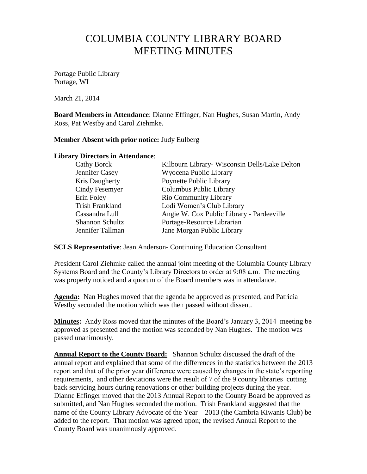## COLUMBIA COUNTY LIBRARY BOARD MEETING MINUTES

Portage Public Library Portage, WI

March 21, 2014

**Board Members in Attendance**: Dianne Effinger, Nan Hughes, Susan Martin, Andy Ross, Pat Westby and Carol Ziehmke.

## **Member Absent with prior notice:** Judy Eulberg

## **Library Directors in Attendance**:

| Cathy Borck            | Kilbourn Library- Wisconsin Dells/Lake Delton |
|------------------------|-----------------------------------------------|
| Jennifer Casey         | Wyocena Public Library                        |
| Kris Daugherty         | Poynette Public Library                       |
| Cindy Fesemyer         | Columbus Public Library                       |
| Erin Foley             | <b>Rio Community Library</b>                  |
| <b>Trish Frankland</b> | Lodi Women's Club Library                     |
| Cassandra Lull         | Angie W. Cox Public Library - Pardeeville     |
| <b>Shannon Schultz</b> | Portage-Resource Librarian                    |
| Jennifer Tallman       | Jane Morgan Public Library                    |

**SCLS Representative**: Jean Anderson- Continuing Education Consultant

President Carol Ziehmke called the annual joint meeting of the Columbia County Library Systems Board and the County's Library Directors to order at 9:08 a.m. The meeting was properly noticed and a quorum of the Board members was in attendance.

**Agenda:** Nan Hughes moved that the agenda be approved as presented, and Patricia Westby seconded the motion which was then passed without dissent.

**Minutes:** Andy Ross moved that the minutes of the Board's January 3, 2014 meeting be approved as presented and the motion was seconded by Nan Hughes. The motion was passed unanimously.

**Annual Report to the County Board:** Shannon Schultz discussed the draft of the annual report and explained that some of the differences in the statistics between the 2013 report and that of the prior year difference were caused by changes in the state's reporting requirements, and other deviations were the result of 7 of the 9 county libraries cutting back servicing hours during renovations or other building projects during the year. Dianne Effinger moved that the 2013 Annual Report to the County Board be approved as submitted, and Nan Hughes seconded the motion. Trish Frankland suggested that the name of the County Library Advocate of the Year – 2013 (the Cambria Kiwanis Club) be added to the report. That motion was agreed upon; the revised Annual Report to the County Board was unanimously approved.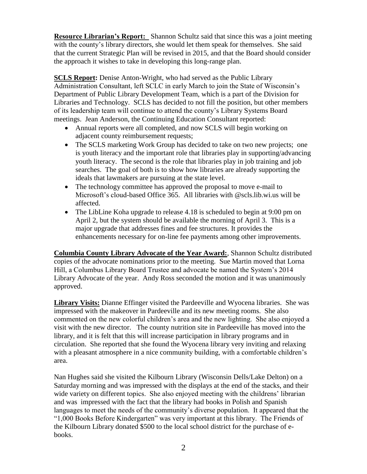**Resource Librarian's Report:** Shannon Schultz said that since this was a joint meeting with the county's library directors, she would let them speak for themselves. She said that the current Strategic Plan will be revised in 2015, and that the Board should consider the approach it wishes to take in developing this long-range plan.

**SCLS Report:** Denise Anton-Wright, who had served as the Public Library Administration Consultant, left SCLC in early March to join the State of Wisconsin's Department of Public Library Development Team, which is a part of the Division for Libraries and Technology. SCLS has decided to not fill the position, but other members of its leadership team will continue to attend the county's Library Systems Board meetings. Jean Anderson, the Continuing Education Consultant reported:

- Annual reports were all completed, and now SCLS will begin working on adjacent county reimbursement requests;
- The SCLS marketing Work Group has decided to take on two new projects; one is youth literacy and the important role that libraries play in supporting/advancing youth literacy. The second is the role that libraries play in job training and job searches. The goal of both is to show how libraries are already supporting the ideals that lawmakers are pursuing at the state level.
- The technology committee has approved the proposal to move e-mail to Microsoft's cloud-based Office 365. All libraries with @scls.lib.wi.us will be affected.
- The LibLine Koha upgrade to release 4.18 is scheduled to begin at 9:00 pm on April 2, but the system should be available the morning of April 3. This is a major upgrade that addresses fines and fee structures. It provides the enhancements necessary for on-line fee payments among other improvements.

**Columbia County Library Advocate of the Year Award:**, Shannon Schultz distributed copies of the advocate nominations prior to the meeting. Sue Martin moved that Lorna Hill, a Columbus Library Board Trustee and advocate be named the System's 2014 Library Advocate of the year. Andy Ross seconded the motion and it was unanimously approved.

**Library Visits:** Dianne Effinger visited the Pardeeville and Wyocena libraries. She was impressed with the makeover in Pardeeville and its new meeting rooms. She also commented on the new colorful children's area and the new lighting. She also enjoyed a visit with the new director. The county nutrition site in Pardeeville has moved into the library, and it is felt that this will increase participation in library programs and in circulation. She reported that she found the Wyocena library very inviting and relaxing with a pleasant atmosphere in a nice community building, with a comfortable children's area.

Nan Hughes said she visited the Kilbourn Library (Wisconsin Dells/Lake Delton) on a Saturday morning and was impressed with the displays at the end of the stacks, and their wide variety on different topics. She also enjoyed meeting with the childrens' librarian and was impressed with the fact that the library had books in Polish and Spanish languages to meet the needs of the community's diverse population. It appeared that the "1,000 Books Before Kindergarten" was very important at this library. The Friends of the Kilbourn Library donated \$500 to the local school district for the purchase of ebooks.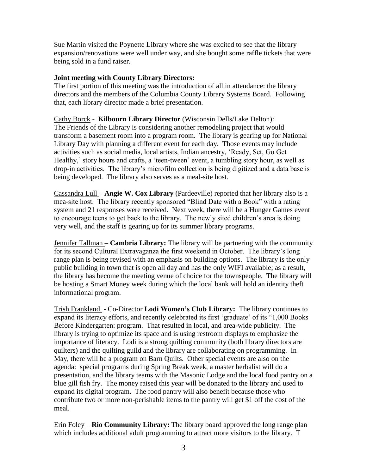Sue Martin visited the Poynette Library where she was excited to see that the library expansion/renovations were well under way, and she bought some raffle tickets that were being sold in a fund raiser.

## **Joint meeting with County Library Directors:**

The first portion of this meeting was the introduction of all in attendance: the library directors and the members of the Columbia County Library Systems Board. Following that, each library director made a brief presentation.

Cathy Borck - **Kilbourn Library Director** (Wisconsin Dells/Lake Delton): The Friends of the Library is considering another remodeling project that would transform a basement room into a program room. The library is gearing up for National Library Day with planning a different event for each day. Those events may include activities such as social media, local artists, Indian ancestry, 'Ready, Set, Go Get Healthy,' story hours and crafts, a 'teen-tween' event, a tumbling story hour, as well as drop-in activities. The library's microfilm collection is being digitized and a data base is being developed. The library also serves as a meal-site host.

Cassandra Lull – **Angie W. Cox Library** (Pardeeville) reported that her library also is a mea-site host. The library recently sponsored "Blind Date with a Book" with a rating system and 21 responses were received. Next week, there will be a Hunger Games event to encourage teens to get back to the library. The newly sited children's area is doing very well, and the staff is gearing up for its summer library programs.

Jennifer Tallman – **Cambria Library:** The library will be partnering with the community for its second Cultural Extravaganza the first weekend in October. The library's long range plan is being revised with an emphasis on building options. The library is the only public building in town that is open all day and has the only WIFI available; as a result, the library has become the meeting venue of choice for the townspeople. The library will be hosting a Smart Money week during which the local bank will hold an identity theft informational program.

Trish Frankland - Co-Director **Lodi Women's Club Library:** The library continues to expand its literacy efforts, and recently celebrated its first 'graduate' of its "1,000 Books Before Kindergarten: program. That resulted in local, and area-wide publicity. The library is trying to optimize its space and is using restroom displays to emphasize the importance of literacy. Lodi is a strong quilting community (both library directors are quilters) and the quilting guild and the library are collaborating on programming. In May, there will be a program on Barn Quilts. Other special events are also on the agenda: special programs during Spring Break week, a master herbalist will do a presentation, and the library teams with the Masonic Lodge and the local food pantry on a blue gill fish fry. The money raised this year will be donated to the library and used to expand its digital program. The food pantry will also benefit because those who contribute two or more non-perishable items to the pantry will get \$1 off the cost of the meal.

Erin Foley – **Rio Community Library:** The library board approved the long range plan which includes additional adult programming to attract more visitors to the library. T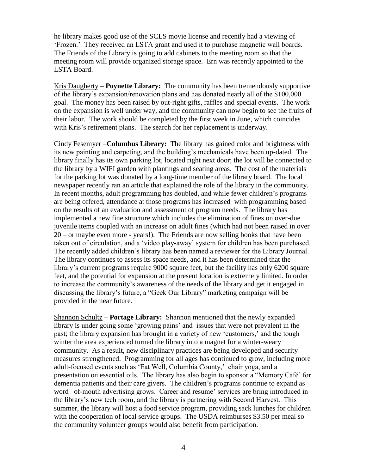he library makes good use of the SCLS movie license and recently had a viewing of 'Frozen.' They received an LSTA grant and used it to purchase magnetic wall boards. The Friends of the Library is going to add cabinets to the meeting room so that the meeting room will provide organized storage space. Ern was recently appointed to the LSTA Board.

Kris Daugherty – **Poynette Library:** The community has been tremendously supportive of the library's expansion/renovation plans and has donated nearly all of the \$100,000 goal. The money has been raised by out-right gifts, raffles and special events. The work on the expansion is well under way, and the community can now begin to see the fruits of their labor. The work should be completed by the first week in June, which coincides with Kris's retirement plans. The search for her replacement is underway.

Cindy Fesemyer –**Columbus Library:** The library has gained color and brightness with its new painting and carpeting, and the building's mechanicals have been up-dated. The library finally has its own parking lot, located right next door; the lot will be connected to the library by a WIFI garden with plantings and seating areas. The cost of the materials for the parking lot was donated by a long-time member of the library board. The local newspaper recently ran an article that explained the role of the library in the community. In recent months, adult programming has doubled, and while fewer children's programs are being offered, attendance at those programs has increased with programming based on the results of an evaluation and assessment of program needs. The library has implemented a new fine structure which includes the elimination of fines on over-due juvenile items coupled with an increase on adult fines (which had not been raised in over 20 – or maybe even more - years!). The Friends are now selling books that have been taken out of circulation, and a 'video play-away' system for children has been purchased. The recently added children's library has been named a reviewer for the Library Journal. The library continues to assess its space needs, and it has been determined that the library's current programs require 9000 square feet, but the facility has only 6200 square feet, and the potential for expansion at the present location is extremely limited. In order to increase the community's awareness of the needs of the library and get it engaged in discussing the library's future, a "Geek Our Library" marketing campaign will be provided in the near future.

Shannon Schultz – **Portage Library:** Shannon mentioned that the newly expanded library is under going some 'growing pains' and issues that were not prevalent in the past; the library expansion has brought in a variety of new 'customers,' and the tough winter the area experienced turned the library into a magnet for a winter-weary community. As a result, new disciplinary practices are being developed and security measures strengthened. Programming for all ages has continued to grow, including more adult-focused events such as 'Eat Well, Columbia County,' chair yoga, and a presentation on essential oils. The library has also begin to sponsor a "Memory Café' for dementia patients and their care givers. The children's programs continue to expand as word –of-mouth advertising grows. Career and resume' services are bring introduced in the library's new tech room, and the library is partnering with Second Harvest. This summer, the library will host a food service program, providing sack lunches for children with the cooperation of local service groups. The USDA reimburses \$3.50 per meal so the community volunteer groups would also benefit from participation.